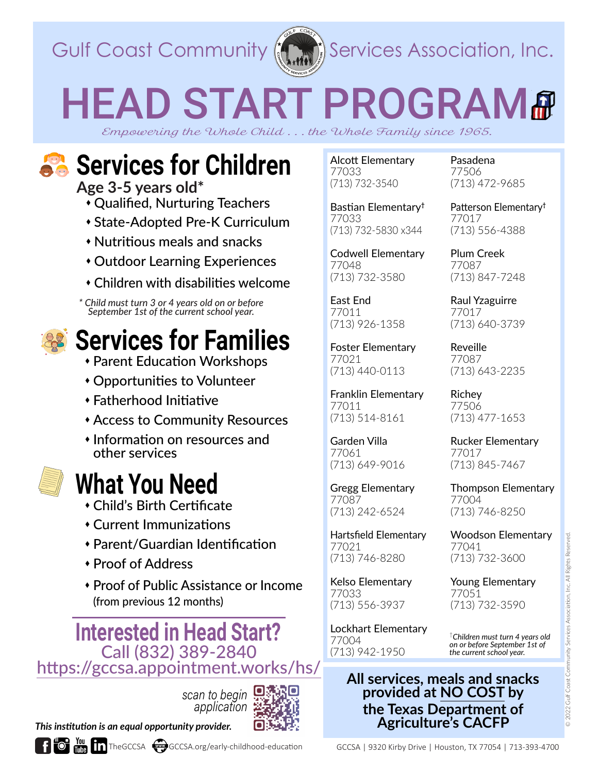

Gulf Coast Community  $\langle \langle \cdot, \cdot \rangle \rangle$  Services Association, Inc.

# HEAD START PROGRAM#

*Empowering the Whole Child . . . the Whole Family since 1965.*

## **Services for Children**

**Age 3-5 years old\***  Qualified, Nurturing Teachers

- State-Adopted Pre-K Curriculum
- Nutritious meals and snacks
- Outdoor Learning Experiences
- Children with disabilities welcome

*\* Child must turn 3 or 4 years old on or before September 1st of the current school year.*



#### **Services for Families**

- Parent Education Workshops
- Opportunities to Volunteer
- Fatherhood Initiative
- Access to Community Resources
- Information on resources and other services



#### **What You Need**

- Child's Birth Certificate
- Current Immunizations
- Parent/Guardian Identification
- Proof of Address
- Proof of Public Assistance or Income (from previous 12 months)

**Interested in Head Start?** <https://gccsa.appointment.works/hs/>

*scan to begin application*





Alcott Elementary 77033 (713) 732-3540

Bastian Elementary**†** 77033 (713) 732-5830 x344

Codwell Elementary 77048 (713) 732-3580

East End 77011 (713) 926-1358

Foster Elementary 77021 (713) 440-0113

Franklin Elementary 77011 (713) 514-8161

Garden Villa 77061 (713) 649-9016

Gregg Elementary 77087 (713) 242-6524

Hartsfield Elementary 77021 (713) 746-8280

Kelso Elementary 77033 (713) 556-3937

Lockhart Elementary 77004 (713) 942-1950

Pasadena 77506 (713) 472-9685

Patterson Elementary**†** 77017 (713) 556-4388

Plum Creek 77087 (713) 847-7248

Raul Yzaguirre 77017 (713) 640-3739

Reveille 77087 (713) 643-2235

Richey 77506 (713) 477-1653

Rucker Elementary 77017 (713) 845-7467

Thompson Elementary 77004 (713) 746-8250

Woodson Elementary 77041 (713) 732-3600

Young Elementary 77051 (713) 732-3590

†*Children must turn 4 years old on or before September 1st of the current school year.*

**All services, meals and snacks provided at NO COST by the Texas Department of Agriculture's CACFP**